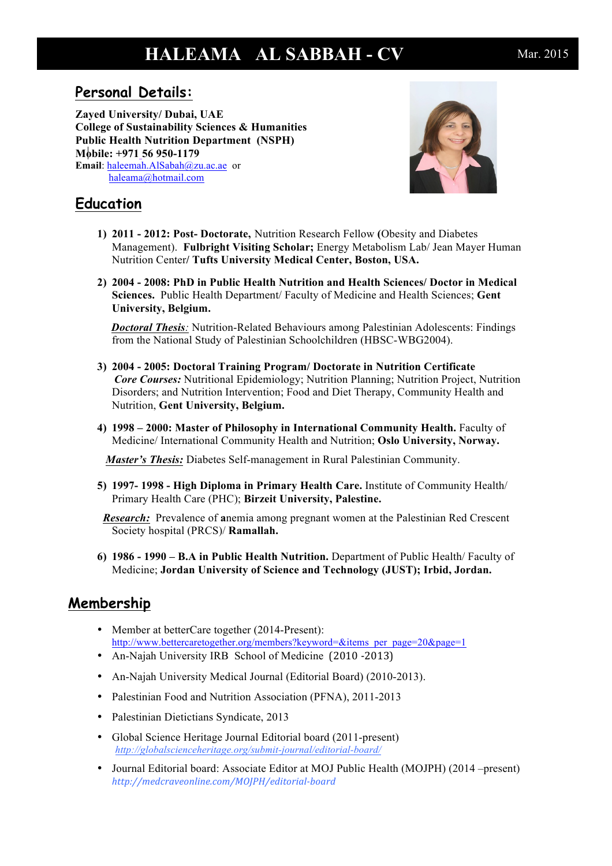# **HALEAMA AL SABBAH - CV** Mar. 2015

## **Personal Details:**

**Zayed University/ Dubai, UAE College of Sustainability Sciences & Humanities Public Health Nutrition Department (NSPH) Mobile: +971 56 950-1179 Email**: haleemah.AlSabah@zu.ac.ae or haleama@hotmail.com



# **Education**

- **1) 2011 - 2012: Post- Doctorate,** Nutrition Research Fellow **(**Obesity and Diabetes Management). **Fulbright Visiting Scholar;** Energy Metabolism Lab/ Jean Mayer Human Nutrition Center**/ Tufts University Medical Center, Boston, USA.**
- **2) 2004 - 2008: PhD in Public Health Nutrition and Health Sciences/ Doctor in Medical Sciences.** Public Health Department/ Faculty of Medicine and Health Sciences; **Gent University, Belgium.**

 *Doctoral Thesis:* Nutrition-Related Behaviours among Palestinian Adolescents: Findings from the National Study of Palestinian Schoolchildren (HBSC-WBG2004).

- **3) 2004 - 2005: Doctoral Training Program/ Doctorate in Nutrition Certificate** *Core Courses:* Nutritional Epidemiology; Nutrition Planning; Nutrition Project, Nutrition Disorders; and Nutrition Intervention; Food and Diet Therapy, Community Health and Nutrition, **Gent University, Belgium.**
- **4) 1998 – 2000: Master of Philosophy in International Community Health.** Faculty of Medicine/ International Community Health and Nutrition; **Oslo University, Norway.**

*Master's Thesis:* Diabetes Self-management in Rural Palestinian Community.

**5) 1997- 1998 - High Diploma in Primary Health Care.** Institute of Community Health/ Primary Health Care (PHC); **Birzeit University, Palestine.**

 *Research:* Prevalence of **a**nemia among pregnant women at the Palestinian Red Crescent Society hospital (PRCS)/ **Ramallah.**

**6) 1986 - 1990 – B.A in Public Health Nutrition.** Department of Public Health/ Faculty of Medicine; **Jordan University of Science and Technology (JUST); Irbid, Jordan.**

## **Membership**

- Member at betterCare together (2014-Present): http://www.bettercaretogether.org/members?keyword=&items\_per\_page=20&page=1
- An-Najah University IRB School of Medicine (2010 -2013)
- An-Najah University Medical Journal (Editorial Board) (2010-2013).
- Palestinian Food and Nutrition Association (PFNA), 2011-2013
- Palestinian Dietictians Syndicate, 2013
- Global Science Heritage Journal Editorial board (2011-present) *http://globalscienceheritage.org/submit-journal/editorial-board/*
- Journal Editorial board: Associate Editor at MOJ Public Health (MOJPH) (2014 –present) *http://medcraveonline.com/MOJPH/editorial-board*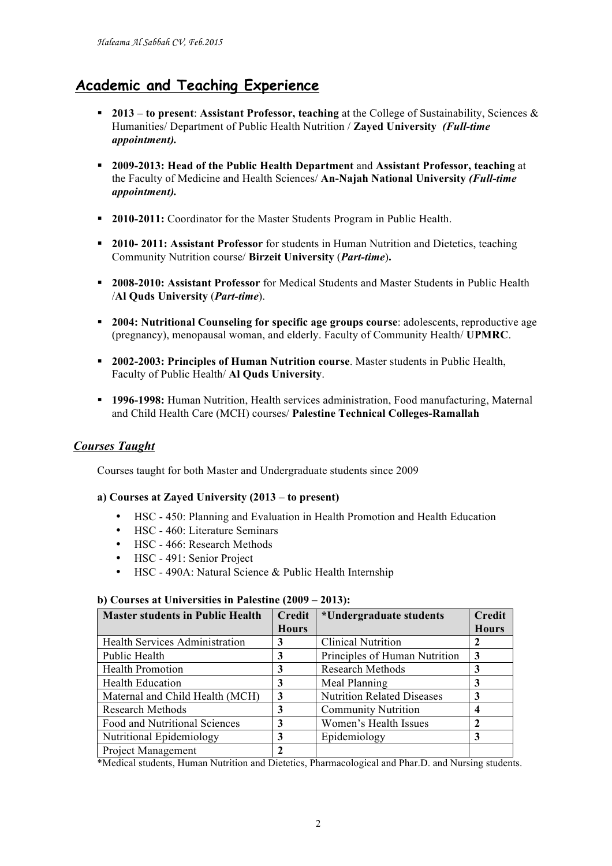# **Academic and Teaching Experience**

- § **2013 – to present**: **Assistant Professor, teaching** at the College of Sustainability, Sciences & Humanities/ Department of Public Health Nutrition / **Zayed University** *(Full-time appointment).*
- § **2009-2013: Head of the Public Health Department** and **Assistant Professor, teaching** at the Faculty of Medicine and Health Sciences/ **An-Najah National University** *(Full-time appointment).*
- § **2010-2011:** Coordinator for the Master Students Program in Public Health.
- § **2010- 2011: Assistant Professor** for students in Human Nutrition and Dietetics, teaching Community Nutrition course/ **Birzeit University** (*Part-time*)**.**
- § **2008-2010: Assistant Professor** for Medical Students and Master Students in Public Health /**Al Quds University** (*Part-time*).
- § **2004: Nutritional Counseling for specific age groups course**: adolescents, reproductive age (pregnancy), menopausal woman, and elderly. Faculty of Community Health/ **UPMRC**.
- § **2002-2003: Principles of Human Nutrition course**. Master students in Public Health, Faculty of Public Health/ **Al Quds University**.
- § **1996-1998:** Human Nutrition, Health services administration, Food manufacturing, Maternal and Child Health Care (MCH) courses/ **Palestine Technical Colleges-Ramallah**

#### *Courses Taught*

Courses taught for both Master and Undergraduate students since 2009

#### **a) Courses at Zayed University (2013 – to present)**

- HSC 450: Planning and Evaluation in Health Promotion and Health Education
- HSC 460: Literature Seminars
- HSC 466: Research Methods
- HSC 491: Senior Project
- HSC 490A: Natural Science & Public Health Internship

#### **b) Courses at Universities in Palestine (2009 – 2013):**

| <b>Master students in Public Health</b> | <b>Credit</b> | *Undergraduate students           | <b>Credit</b> |
|-----------------------------------------|---------------|-----------------------------------|---------------|
|                                         | <b>Hours</b>  |                                   | <b>Hours</b>  |
| <b>Health Services Administration</b>   | 3             | <b>Clinical Nutrition</b>         |               |
| Public Health                           |               | Principles of Human Nutrition     | 3             |
| <b>Health Promotion</b>                 | 3             | <b>Research Methods</b>           | 3             |
| <b>Health Education</b>                 | 3             | Meal Planning                     | 3             |
| Maternal and Child Health (MCH)         | 3             | <b>Nutrition Related Diseases</b> | 3             |
| <b>Research Methods</b>                 | 3             | <b>Community Nutrition</b>        | 4             |
| Food and Nutritional Sciences           | 3             | Women's Health Issues             | 7             |
| Nutritional Epidemiology                | 3             | Epidemiology                      | 3             |
| <b>Project Management</b>               |               |                                   |               |

\*Medical students, Human Nutrition and Dietetics, Pharmacological and Phar.D. and Nursing students.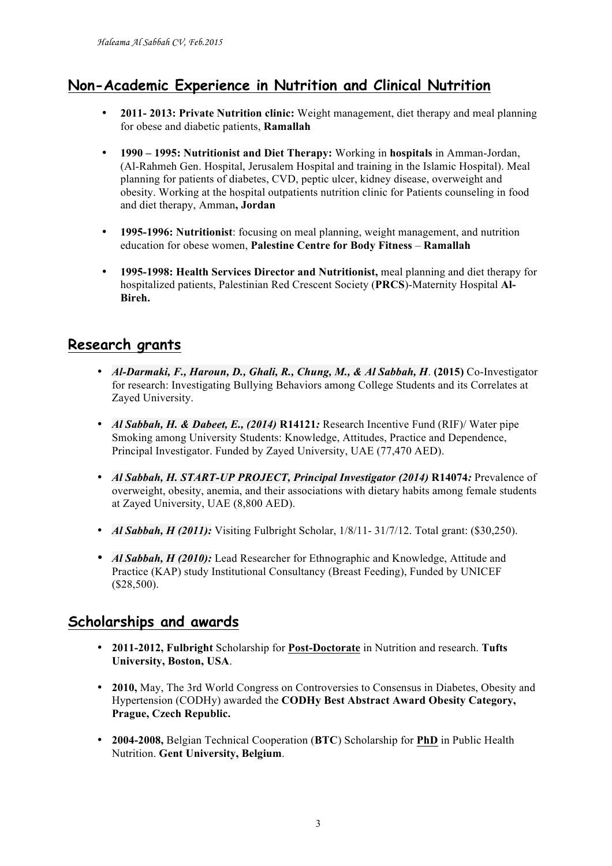# **Non-Academic Experience in Nutrition and Clinical Nutrition**

- **2011- 2013: Private Nutrition clinic:** Weight management, diet therapy and meal planning for obese and diabetic patients, **Ramallah**
- **1990 – 1995: Nutritionist and Diet Therapy:** Working in **hospitals** in Amman-Jordan, (Al-Rahmeh Gen. Hospital, Jerusalem Hospital and training in the Islamic Hospital). Meal planning for patients of diabetes, CVD, peptic ulcer, kidney disease, overweight and obesity. Working at the hospital outpatients nutrition clinic for Patients counseling in food and diet therapy, Amman**, Jordan**
- **1995-1996: Nutritionist**: focusing on meal planning, weight management, and nutrition education for obese women, **Palestine Centre for Body Fitness** – **Ramallah**
- **1995-1998: Health Services Director and Nutritionist,** meal planning and diet therapy for hospitalized patients, Palestinian Red Crescent Society (**PRCS**)-Maternity Hospital **Al-Bireh.**

## **Research grants**

- *Al-Darmaki, F., Haroun, D., Ghali, R., Chung, M., & Al Sabbah, H*. **(2015)** Co-Investigator for research: Investigating Bullying Behaviors among College Students and its Correlates at Zayed University.
- *Al Sabbah, H. & Dabeet, E., (2014)* **R14121***:* Research Incentive Fund (RIF)/ Water pipe Smoking among University Students: Knowledge, Attitudes, Practice and Dependence, Principal Investigator. Funded by Zayed University, UAE (77,470 AED).
- *Al Sabbah, H. START-UP PROJECT, Principal Investigator (2014)* **R14074***:* Prevalence of overweight, obesity, anemia, and their associations with dietary habits among female students at Zayed University, UAE (8,800 AED).
- *Al Sabbah, H (2011):* Visiting Fulbright Scholar,  $1/8/11 31/7/12$ . Total grant: (\$30,250).
- *Al Sabbah, H (2010):* Lead Researcher for Ethnographic and Knowledge, Attitude and Practice (KAP) study Institutional Consultancy (Breast Feeding), Funded by UNICEF (\$28,500).

### **Scholarships and awards**

- **2011-2012, Fulbright** Scholarship for **Post-Doctorate** in Nutrition and research. **Tufts University, Boston, USA**.
- **2010,** May, The 3rd World Congress on Controversies to Consensus in Diabetes, Obesity and Hypertension (CODHy) awarded the **CODHy Best Abstract Award Obesity Category, Prague, Czech Republic.**
- **2004-2008,** Belgian Technical Cooperation (**BTC**) Scholarship for **PhD** in Public Health Nutrition. **Gent University, Belgium**.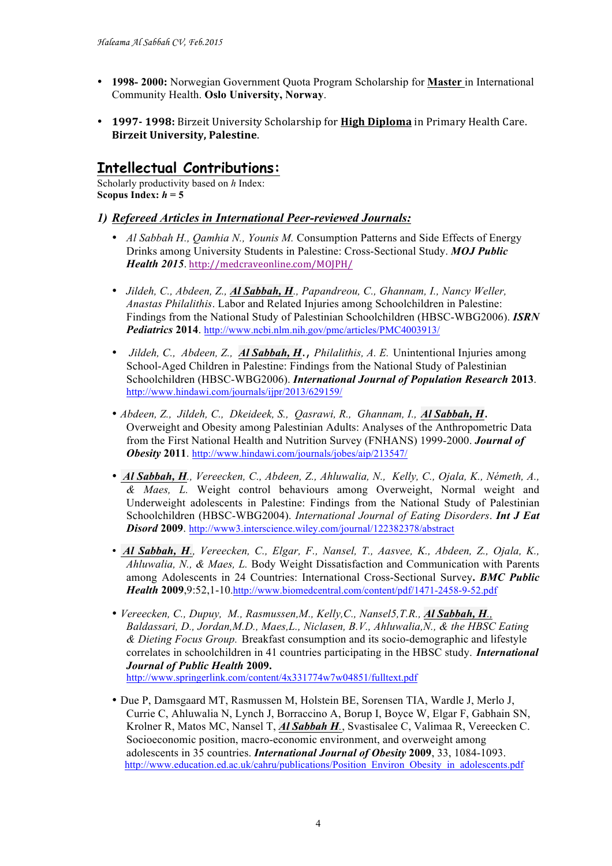- **1998- 2000:** Norwegian Government Quota Program Scholarship for **Master** in International Community Health. **Oslo University, Norway**.
- **1997-1998:** Birzeit University Scholarship for **High Diploma** in Primary Health Care. **Birzeit University, Palestine.**

# **Intellectual Contributions:**

Scholarly productivity based on *h* Index: Scopus Index:  $h = 5$ 

#### *1) Refereed Articles in International Peer-reviewed Journals:*

- *Al Sabbah H., Qamhia N., Younis M.* Consumption Patterns and Side Effects of Energy Drinks among University Students in Palestine: Cross-Sectional Study. *MOJ Public Health 2015*. http://medcraveonline.com/MOJPH/
- *Jildeh, C., Abdeen, Z., Al Sabbah, H., Papandreou, C., Ghannam, I., Nancy Weller, Anastas Philalithis*. Labor and Related Injuries among Schoolchildren in Palestine: Findings from the National Study of Palestinian Schoolchildren (HBSC-WBG2006). *ISRN Pediatrics* **2014**. http://www.ncbi.nlm.nih.gov/pmc/articles/PMC4003913/
- *Jildeh, C., Abdeen, Z., Al Sabbah, H*., *Philalithis, A. E.* Unintentional Injuries among School-Aged Children in Palestine: Findings from the National Study of Palestinian Schoolchildren (HBSC-WBG2006). *International Journal of Population Research* **2013**. http://www.hindawi.com/journals/ijpr/2013/629159/
- *Abdeen, Z., Jildeh, C., Dkeideek, S., Qasrawi, R., Ghannam, I., Al Sabbah, H*. Overweight and Obesity among Palestinian Adults: Analyses of the Anthropometric Data from the First National Health and Nutrition Survey (FNHANS) 1999-2000. *Journal of Obesity* **2011**. http://www.hindawi.com/journals/jobes/aip/213547/
- *Al Sabbah, H., Vereecken, C., Abdeen, Z., Ahluwalia, N., Kelly, C., Ojala, K., Németh, A., & Maes, L.* Weight control behaviours among Overweight, Normal weight and Underweight adolescents in Palestine: Findings from the National Study of Palestinian Schoolchildren (HBSC-WBG2004). *International Journal of Eating Disorders*. *Int J Eat Disord* **2009**. http://www3.interscience.wiley.com/journal/122382378/abstract
- *Al Sabbah, H., Vereecken, C., Elgar, F., Nansel, T., Aasvee, K., Abdeen, Z., Ojala, K., Ahluwalia, N., & Maes, L.* Body Weight Dissatisfaction and Communication with Parents among Adolescents in 24 Countries: International Cross-Sectional Survey**.** *BMC Public Health* **2009**,9:52,1-10.http://www.biomedcentral.com/content/pdf/1471-2458-9-52.pdf
- *Vereecken, C., Dupuy, M., Rasmussen,M., Kelly,C., Nansel5,T.R., Al Sabbah, H., Baldassari, D., Jordan,M.D., Maes,L., Niclasen, B.V., Ahluwalia,N., & the HBSC Eating & Dieting Focus Group.* Breakfast consumption and its socio-demographic and lifestyle correlates in schoolchildren in 41 countries participating in the HBSC study. *International Journal of Public Health* **2009.**  http://www.springerlink.com/content/4x331774w7w04851/fulltext.pdf
- Due P, Damsgaard MT, Rasmussen M, Holstein BE, Sorensen TIA, Wardle J, Merlo J, Currie C, Ahluwalia N, Lynch J, Borraccino A, Borup I, Boyce W, Elgar F, Gabhain SN, Krolner R, Matos MC, Nansel T, *Al Sabbah H.*, Svastisalee C, Valimaa R, Vereecken C. Socioeconomic position, macro-economic environment, and overweight among adolescents in 35 countries. *International Journal of Obesity* **2009**, 33, 1084-1093. http://www.education.ed.ac.uk/cahru/publications/Position\_Environ\_Obesity\_in\_adolescents.pdf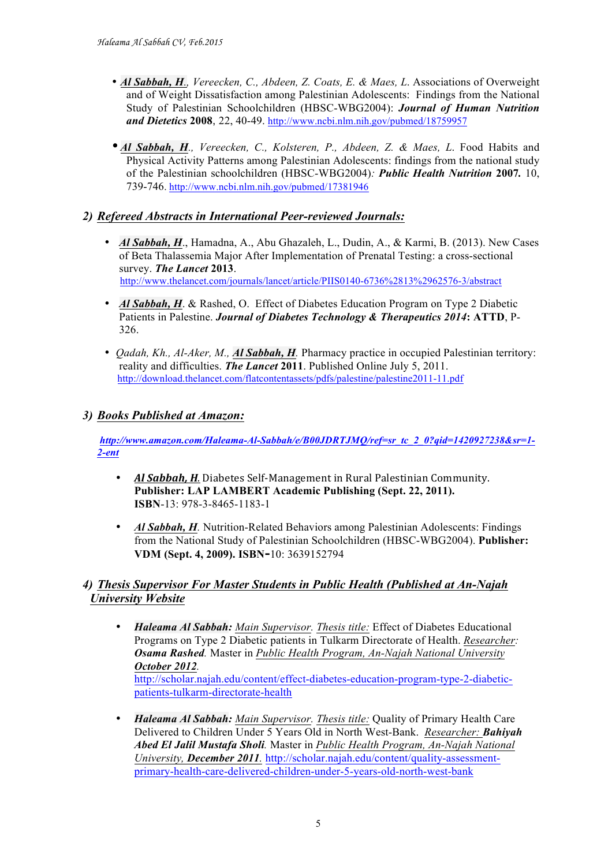- *Al Sabbah, H., Vereecken, C., Abdeen, Z. Coats, E. & Maes, L*. Associations of Overweight and of Weight Dissatisfaction among Palestinian Adolescents: Findings from the National Study of Palestinian Schoolchildren (HBSC-WBG2004): *Journal of Human Nutrition and Dietetics* **2008**, 22, 40-49. http://www.ncbi.nlm.nih.gov/pubmed/18759957
- *Al Sabbah, H., Vereecken, C., Kolsteren, P., Abdeen, Z. & Maes, L*. Food Habits and Physical Activity Patterns among Palestinian Adolescents: findings from the national study of the Palestinian schoolchildren (HBSC-WBG2004)*: Public Health Nutrition* **2007***.* 10, 739-746. http://www.ncbi.nlm.nih.gov/pubmed/17381946

#### *2) Refereed Abstracts in International Peer-reviewed Journals:*

- *Al Sabbah, H.*, Hamadna, A., Abu Ghazaleh, L., Dudin, A., & Karmi, B. (2013). New Cases of Beta Thalassemia Major After Implementation of Prenatal Testing: a cross-sectional survey. *The Lancet* **2013**. http://www.thelancet.com/journals/lancet/article/PIIS0140-6736%2813%2962576-3/abstract
- *Al Sabbah, H. & Rashed, O. Effect of Diabetes Education Program on Type 2 Diabetic* Patients in Palestine. *Journal of Diabetes Technology & Therapeutics 2014***: ATTD**, P-326.
- *Qadah, Kh., Al-Aker, M., Al Sabbah, H.* Pharmacy practice in occupied Palestinian territory: reality and difficulties. *The Lancet* **2011**. Published Online July 5, 2011. http://download.thelancet.com/flatcontentassets/pdfs/palestine/palestine2011-11.pdf

#### *3) Books Published at Amazon:*

*http://www.amazon.com/Haleama-Al-Sabbah/e/B00JDRTJMQ/ref=sr\_tc\_2\_0?qid=1420927238&sr=1- 2-ent*

- *Al Sabbah, H.* Diabetes Self-Management in Rural Palestinian Community. **Publisher: LAP LAMBERT Academic Publishing (Sept. 22, 2011). ISBN**-13: 978-3-8465-1183-1
- *Al Sabbah, H.* Nutrition-Related Behaviors among Palestinian Adolescents: Findings from the National Study of Palestinian Schoolchildren (HBSC-WBG2004). **Publisher: VDM (Sept. 4, 2009). ISBN-**10: 3639152794

#### *4) Thesis Supervisor For Master Students in Public Health (Published at An-Najah University Website*

- *Haleama Al Sabbah: Main Supervisor. Thesis title:* Effect of Diabetes Educational Programs on Type 2 Diabetic patients in Tulkarm Directorate of Health. *Researcher: Osama Rashed.* Master in *Public Health Program, An-Najah National University October 2012.* http://scholar.najah.edu/content/effect-diabetes-education-program-type-2-diabeticpatients-tulkarm-directorate-health
- *Haleama Al Sabbah: Main Supervisor. Thesis title:* Quality of Primary Health Care Delivered to Children Under 5 Years Old in North West-Bank. *Researcher: Bahiyah Abed El Jalil Mustafa Sholi.* Master in *Public Health Program, An-Najah National University, December 2011.* http://scholar.najah.edu/content/quality-assessmentprimary-health-care-delivered-children-under-5-years-old-north-west-bank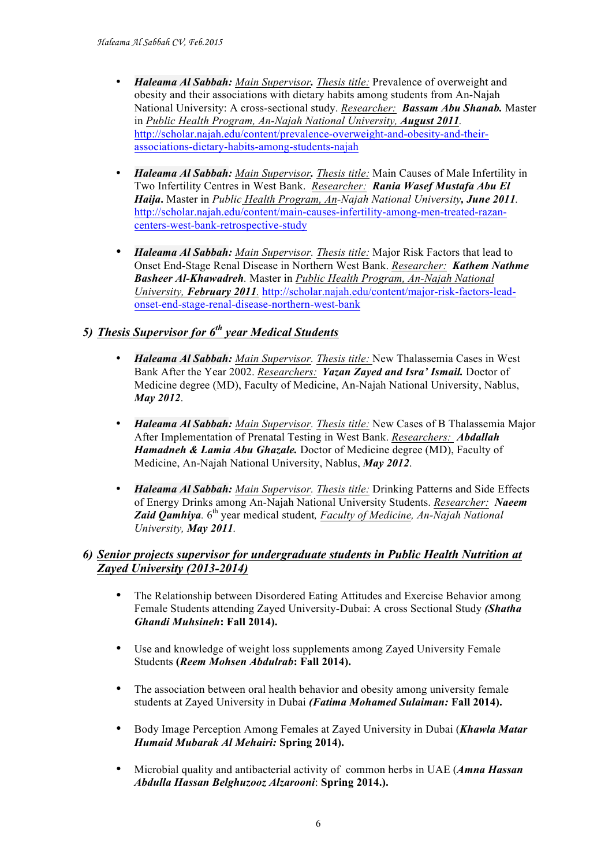- *Haleama Al Sabbah: Main Supervisor. Thesis title:* Prevalence of overweight and obesity and their associations with dietary habits among students from An-Najah National University: A cross-sectional study. *Researcher: Bassam Abu Shanab.* Master in *Public Health Program, An-Najah National University, August 2011.* http://scholar.najah.edu/content/prevalence-overweight-and-obesity-and-theirassociations-dietary-habits-among-students-najah
- *Haleama Al Sabbah: Main Supervisor. Thesis title:* Main Causes of Male Infertility in Two Infertility Centres in West Bank. *Researcher: Rania Wasef Mustafa Abu El Haija***.** Master in *Public Health Program, An-Najah National University, June 2011.* http://scholar.najah.edu/content/main-causes-infertility-among-men-treated-razancenters-west-bank-retrospective-study
- *Haleama Al Sabbah: Main Supervisor. Thesis title:* Major Risk Factors that lead to Onset End-Stage Renal Disease in Northern West Bank. *Researcher: Kathem Nathme Basheer Al-Khawadreh.* Master in *Public Health Program, An-Najah National University, February 2011.* http://scholar.najah.edu/content/major-risk-factors-leadonset-end-stage-renal-disease-northern-west-bank

### *5) Thesis Supervisor for 6th year Medical Students*

- *Haleama Al Sabbah: Main Supervisor. Thesis title:* New Thalassemia Cases in West Bank After the Year 2002. *Researchers: Yazan Zayed and Isra' Ismail.* Doctor of Medicine degree (MD), Faculty of Medicine, An-Najah National University, Nablus, *May 2012*.
- *Haleama Al Sabbah: Main Supervisor. Thesis title:* New Cases of B Thalassemia Major After Implementation of Prenatal Testing in West Bank. *Researchers: Abdallah Hamadneh & Lamia Abu Ghazale.* Doctor of Medicine degree (MD), Faculty of Medicine, An-Najah National University, Nablus, *May 2012*.
- *Haleama Al Sabbah: Main Supervisor. Thesis title:* Drinking Patterns and Side Effects of Energy Drinks among An-Najah National University Students. *Researcher: Naeem Zaid Qamhiya.*  $6^{th}$  year medical student, *Faculty of Medicine, An-Najah National University, May 2011.*

#### *6) Senior projects supervisor for undergraduate students in Public Health Nutrition at Zayed University (2013-2014)*

- The Relationship between Disordered Eating Attitudes and Exercise Behavior among Female Students attending Zayed University-Dubai: A cross Sectional Study *(Shatha Ghandi Muhsineh***: Fall 2014).**
- Use and knowledge of weight loss supplements among Zayed University Female Students **(***Reem Mohsen Abdulrab***: Fall 2014).**
- The association between oral health behavior and obesity among university female students at Zayed University in Dubai *(Fatima Mohamed Sulaiman:* **Fall 2014).**
- Body Image Perception Among Females at Zayed University in Dubai (*Khawla Matar Humaid Mubarak Al Mehairi:* **Spring 2014).**
- Microbial quality and antibacterial activity of common herbs in UAE (*Amna Hassan Abdulla Hassan Belghuzooz Alzarooni*: **Spring 2014.).**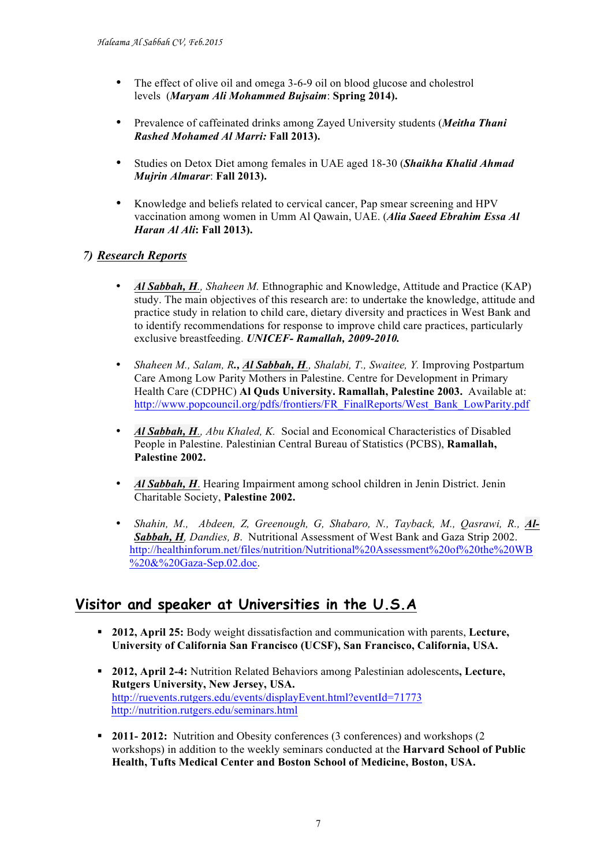- The effect of olive oil and omega 3-6-9 oil on blood glucose and cholestrol levels (*Maryam Ali Mohammed Bujsaim*: **Spring 2014).**
- Prevalence of caffeinated drinks among Zayed University students (*Meitha Thani Rashed Mohamed Al Marri:* **Fall 2013).**
- Studies on Detox Diet among females in UAE aged 18-30 (*Shaikha Khalid Ahmad Mujrin Almarar*: **Fall 2013).**
- Knowledge and beliefs related to cervical cancer, Pap smear screening and HPV vaccination among women in Umm Al Qawain, UAE. (*Alia Saeed Ebrahim Essa Al Haran Al Ali***: Fall 2013).**

#### *7) Research Reports*

- *Al Sabbah, H., Shaheen M.* Ethnographic and Knowledge, Attitude and Practice (KAP) study. The main objectives of this research are: to undertake the knowledge, attitude and practice study in relation to child care, dietary diversity and practices in West Bank and to identify recommendations for response to improve child care practices, particularly exclusive breastfeeding. *UNICEF- Ramallah, 2009-2010.*
- *Shaheen M., Salam, R., Al Sabbah, H., Shalabi, T., Swaitee, Y.* Improving Postpartum Care Among Low Parity Mothers in Palestine. Centre for Development in Primary Health Care (CDPHC) **Al Quds University. Ramallah, Palestine 2003.** Available at: http://www.popcouncil.org/pdfs/frontiers/FR\_FinalReports/West\_Bank\_LowParity.pdf
- *Al Sabbah, H., Abu Khaled, K.* Social and Economical Characteristics of Disabled People in Palestine. Palestinian Central Bureau of Statistics (PCBS), **Ramallah, Palestine 2002.**
- *Al Sabbah, H*. Hearing Impairment among school children in Jenin District. Jenin Charitable Society, **Palestine 2002.**
- *Shahin, M., Abdeen, Z. Greenough, G. Shabaro, N., Tayback, M., Oasrawi, R., Al-Sabbah, H, Dandies, B*. Nutritional Assessment of West Bank and Gaza Strip 2002. http://healthinforum.net/files/nutrition/Nutritional%20Assessment%20of%20the%20WB %20&%20Gaza-Sep.02.doc.

## **Visitor and speaker at Universities in the U.S.A**

- § **2012, April 25:** Body weight dissatisfaction and communication with parents, **Lecture, University of California San Francisco (UCSF), San Francisco, California, USA.**
- § **2012, April 2-4:** Nutrition Related Behaviors among Palestinian adolescents**, Lecture, Rutgers University, New Jersey, USA.**  http://ruevents.rutgers.edu/events/displayEvent.html?eventId=71773 http://nutrition.rutgers.edu/seminars.html
- § **2011- 2012:** Nutrition and Obesity conferences (3 conferences) and workshops (2 workshops) in addition to the weekly seminars conducted at the **Harvard School of Public Health, Tufts Medical Center and Boston School of Medicine, Boston, USA.**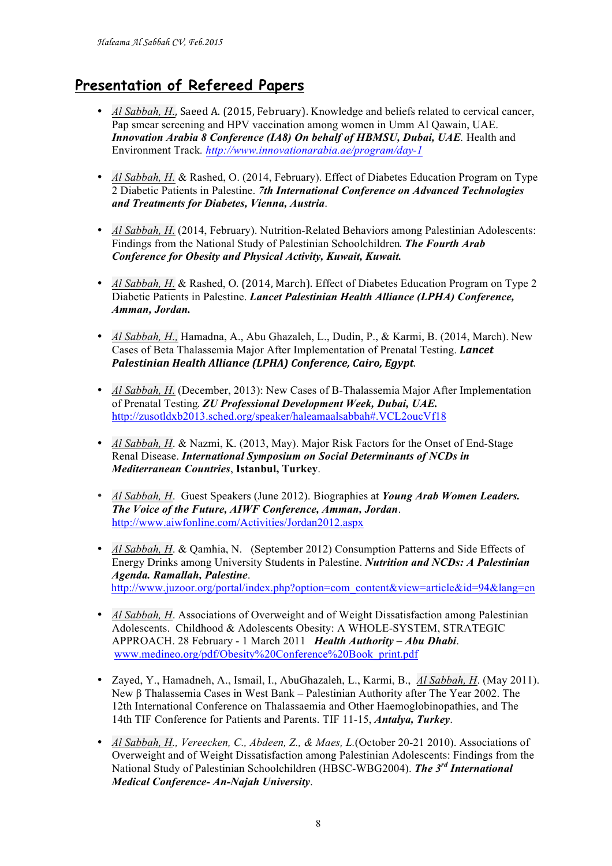# **Presentation of Refereed Papers**

- Al Sabbah, H., Saeed A. (2015, February). Knowledge and beliefs related to cervical cancer, Pap smear screening and HPV vaccination among women in Umm Al Qawain, UAE. *Innovation Arabia 8 Conference (IA8) On behalf of HBMSU, Dubai, UAE.* Health and Environment Track*. http://www.innovationarabia.ae/program/day-1*
- *Al Sabbah, H. & Rashed, O. (2014, February). Effect of Diabetes Education Program on Type* 2 Diabetic Patients in Palestine. *7th International Conference on Advanced Technologies and Treatments for Diabetes, Vienna, Austria*.
- *Al Sabbah, H.* (2014, February). Nutrition-Related Behaviors among Palestinian Adolescents: Findings from the National Study of Palestinian Schoolchildren. *The Fourth Arab Conference for Obesity and Physical Activity, Kuwait, Kuwait.*
- *Al Sabbah, H. & Rashed, O. (2014, March).* Effect of Diabetes Education Program on Type 2 Diabetic Patients in Palestine. *Lancet Palestinian Health Alliance (LPHA) Conference, Amman, Jordan.*
- *Al Sabbah, H.,* Hamadna, A., Abu Ghazaleh, L., Dudin, P., & Karmi, B. (2014, March). New Cases of Beta Thalassemia Major After Implementation of Prenatal Testing. *Lancet Palestinian Health Alliance (LPHA) Conference, Cairo, Egypt.*
- *Al Sabbah, H.* (December, 2013): New Cases of B-Thalassemia Major After Implementation of Prenatal Testing. *ZU Professional Development Week, Dubai, UAE.* http://zusotldxb2013.sched.org/speaker/haleamaalsabbah#.VCL2oucVf18
- *Al Sabbah, H*. & Nazmi, K. (2013, May). Major Risk Factors for the Onset of End-Stage Renal Disease. *International Symposium on Social Determinants of NCDs in Mediterranean Countries*, **Istanbul, Turkey**.
- *Al Sabbah, H*. Guest Speakers (June 2012). Biographies at *Young Arab Women Leaders. The Voice of the Future, AIWF Conference, Amman, Jordan*. http://www.aiwfonline.com/Activities/Jordan2012.aspx
- *Al Sabbah, H*. & Qamhia, N. (September 2012) Consumption Patterns and Side Effects of Energy Drinks among University Students in Palestine. *Nutrition and NCDs: A Palestinian Agenda. Ramallah, Palestine*. http://www.juzoor.org/portal/index.php?option=com\_content&view=article&id=94&lang=en
- *Al Sabbah, H*. Associations of Overweight and of Weight Dissatisfaction among Palestinian Adolescents. Childhood & Adolescents Obesity: A WHOLE-SYSTEM, STRATEGIC APPROACH. 28 February - 1 March 2011 *Health Authority – Abu Dhabi*. www.medineo.org/pdf/Obesity%20Conference%20Book\_print.pdf
- Zayed, Y., Hamadneh, A., Ismail, I., AbuGhazaleh, L., Karmi, B., *Al Sabbah, H*. (May 2011). New β Thalassemia Cases in West Bank – Palestinian Authority after The Year 2002. The 12th International Conference on Thalassaemia and Other Haemoglobinopathies, and The 14th TIF Conference for Patients and Parents. TIF 11-15, *Antalya, Turkey*.
- *Al Sabbah, H., Vereecken, C., Abdeen, Z., & Maes, L.*(October 20-21 2010). Associations of Overweight and of Weight Dissatisfaction among Palestinian Adolescents: Findings from the National Study of Palestinian Schoolchildren (HBSC-WBG2004). *The 3rd International Medical Conference- An-Najah University*.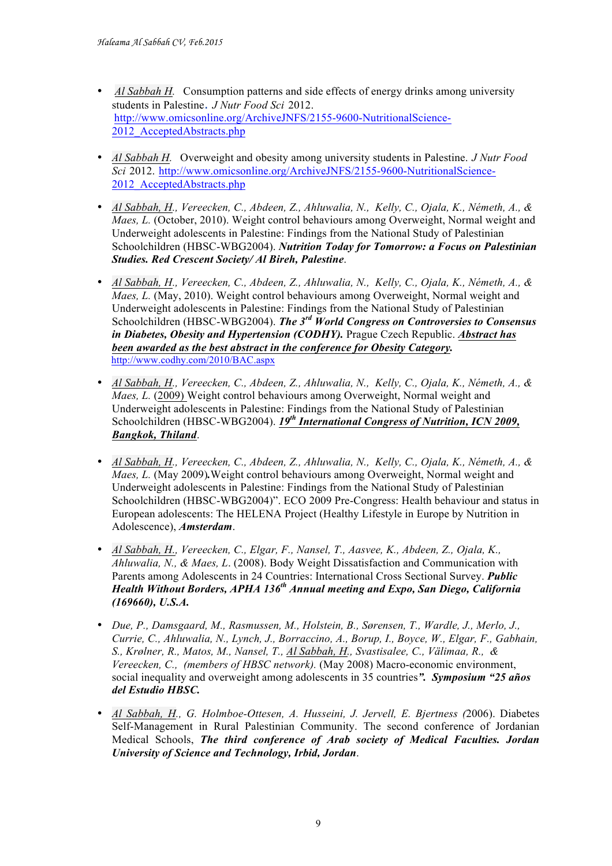- *Al Sabbah H.* Consumption patterns and side effects of energy drinks among university students in Palestine. *J Nutr Food Sci* 2012. http://www.omicsonline.org/ArchiveJNFS/2155-9600-NutritionalScience-2012 AcceptedAbstracts.php
- *Al Sabbah H.*Overweight and obesity among university students in Palestine. *J Nutr Food Sci* 2012. http://www.omicsonline.org/ArchiveJNFS/2155-9600-NutritionalScience-2012 AcceptedAbstracts.php
- *Al Sabbah, H., Vereecken, C., Abdeen, Z., Ahluwalia, N., Kelly, C., Ojala, K., Németh, A., & Maes, L.* (October, 2010). Weight control behaviours among Overweight, Normal weight and Underweight adolescents in Palestine: Findings from the National Study of Palestinian Schoolchildren (HBSC-WBG2004). *Nutrition Today for Tomorrow: a Focus on Palestinian Studies. Red Crescent Society/ Al Bireh, Palestine*.
- *Al Sabbah, H., Vereecken, C., Abdeen, Z., Ahluwalia, N., Kelly, C., Ojala, K., Németh, A., & Maes, L.* (May, 2010). Weight control behaviours among Overweight, Normal weight and Underweight adolescents in Palestine: Findings from the National Study of Palestinian Schoolchildren (HBSC-WBG2004). *The 3rd World Congress on Controversies to Consensus in Diabetes, Obesity and Hypertension (CODHY).* Prague Czech Republic. *Abstract has been awarded as the best abstract in the conference for Obesity Category.* http://www.codhy.com/2010/BAC.aspx
- *Al Sabbah, H., Vereecken, C., Abdeen, Z., Ahluwalia, N., Kelly, C., Ojala, K., Németh, A., & Maes, L.* (2009) Weight control behaviours among Overweight, Normal weight and Underweight adolescents in Palestine: Findings from the National Study of Palestinian Schoolchildren (HBSC-WBG2004). 19<sup>th</sup> International Congress of Nutrition, ICN 2009, *Bangkok, Thiland*.
- *Al Sabbah, H., Vereecken, C., Abdeen, Z., Ahluwalia, N., Kelly, C., Ojala, K., Németh, A., & Maes, L.* (May 2009)*.*Weight control behaviours among Overweight, Normal weight and Underweight adolescents in Palestine: Findings from the National Study of Palestinian Schoolchildren (HBSC-WBG2004)". ECO 2009 Pre-Congress: Health behaviour and status in European adolescents: The HELENA Project (Healthy Lifestyle in Europe by Nutrition in Adolescence), *Amsterdam*.
- *Al Sabbah, H., Vereecken, C., Elgar, F., Nansel, T., Aasvee, K., Abdeen, Z., Ojala, K., Ahluwalia, N., & Maes, L*. (2008). Body Weight Dissatisfaction and Communication with Parents among Adolescents in 24 Countries: International Cross Sectional Survey. *Public Health Without Borders, APHA 136th Annual meeting and Expo, San Diego, California (169660), U.S.A.*
- *Due, P., Damsgaard, M., Rasmussen, M., Holstein, B., Sørensen, T., Wardle, J., Merlo, J., Currie, C., Ahluwalia, N., Lynch, J., Borraccino, A., Borup, I., Boyce, W., Elgar, F., Gabhain, S., Krølner, R., Matos, M., Nansel, T., Al Sabbah, H., Svastisalee, C., Välimaa, R., & Vereecken, C., (members of HBSC network).* (May 2008) Macro-economic environment, social inequality and overweight among adolescents in 35 countries*". Symposium "25 años del Estudio HBSC.*
- *Al Sabbah, H., G. Holmboe-Ottesen, A. Husseini, J. Jervell, E. Bjertness (*2006). Diabetes Self-Management in Rural Palestinian Community. The second conference of Jordanian Medical Schools, *The third conference of Arab society of Medical Faculties. Jordan University of Science and Technology, Irbid, Jordan*.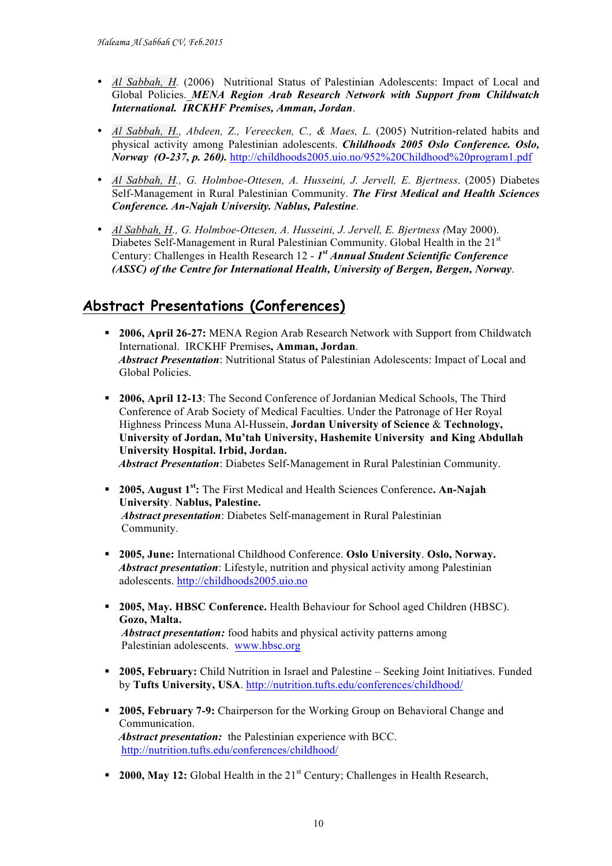- *Al Sabbah, H.* (2006) Nutritional Status of Palestinian Adolescents: Impact of Local and Global Policies. *MENA Region Arab Research Network with Support from Childwatch International. IRCKHF Premises, Amman, Jordan*.
- *Al Sabbah, H., Abdeen, Z., Vereecken, C., & Maes, L.* (2005) Nutrition-related habits and physical activity among Palestinian adolescents. *Childhoods 2005 Oslo Conference. Oslo, Norway (O-237, p. 260).* http://childhoods2005.uio.no/952%20Childhood%20program1.pdf
- *Al Sabbah, H., G. Holmboe-Ottesen, A. Husseini, J. Jervell, E. Bjertness*. (2005) Diabetes Self-Management in Rural Palestinian Community. *The First Medical and Health Sciences Conference. An-Najah University. Nablus, Palestine*.
- *Al Sabbah, H., G. Holmboe-Ottesen, A. Husseini, J. Jervell, E. Bjertness (*May 2000). Diabetes Self-Management in Rural Palestinian Community. Global Health in the  $21<sup>st</sup>$ Century: Challenges in Health Research 12 - *1st Annual Student Scientific Conference (ASSC) of the Centre for International Health, University of Bergen, Bergen, Norway*.

# **Abstract Presentations (Conferences)**

- § **2006, April 26-27:** MENA Region Arab Research Network with Support from Childwatch International. IRCKHF Premises**, Amman, Jordan**.  *Abstract Presentation*: Nutritional Status of Palestinian Adolescents: Impact of Local and Global Policies.
- § **2006, April 12-13**: The Second Conference of Jordanian Medical Schools, The Third Conference of Arab Society of Medical Faculties. Under the Patronage of Her Royal Highness Princess Muna Al-Hussein, **Jordan University of Science** & **Technology, University of Jordan, Mu'tah University, Hashemite University and King Abdullah University Hospital. Irbid, Jordan.** *Abstract Presentation*: Diabetes Self-Management in Rural Palestinian Community.
- § **2005, August 1st:** The First Medical and Health Sciences Conference**. An-Najah University**. **Nablus, Palestine.** *Abstract presentation*: Diabetes Self-management in Rural Palestinian Community.
- § **2005, June:** International Childhood Conference. **Oslo University**. **Oslo, Norway.**  *Abstract presentation*: Lifestyle, nutrition and physical activity among Palestinian adolescents. http://childhoods2005.uio.no
- § **2005, May. HBSC Conference.** Health Behaviour for School aged Children (HBSC). **Gozo, Malta.**   *Abstract presentation:* food habits and physical activity patterns among Palestinian adolescents.www.hbsc.org
- § **2005, February:** Child Nutrition in Israel and Palestine Seeking Joint Initiatives. Funded by **Tufts University, USA**. http://nutrition.tufts.edu/conferences/childhood/
- § **2005, February 7-9:** Chairperson for the Working Group on Behavioral Change and Communication. *Abstract presentation:* the Palestinian experience with BCC. http://nutrition.tufts.edu/conferences/childhood/
- **2000, May 12:** Global Health in the 21<sup>st</sup> Century; Challenges in Health Research,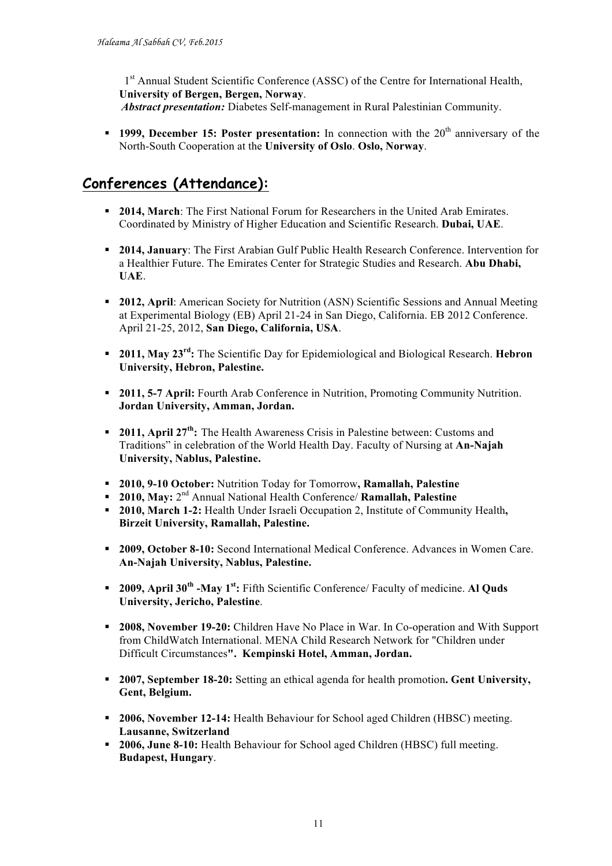1<sup>st</sup> Annual Student Scientific Conference (ASSC) of the Centre for International Health, **University of Bergen, Bergen, Norway**.

- *Abstract presentation:* Diabetes Self-management in Rural Palestinian Community.
- **1999. December 15: Poster presentation:** In connection with the 20<sup>th</sup> anniversary of the North-South Cooperation at the **University of Oslo**. **Oslo, Norway**.

# **Conferences (Attendance):**

- § **2014, March**: The First National Forum for Researchers in the United Arab Emirates. Coordinated by Ministry of Higher Education and Scientific Research. **Dubai, UAE**.
- § **2014, January**: The First Arabian Gulf Public Health Research Conference. Intervention for a Healthier Future. The Emirates Center for Strategic Studies and Research. **Abu Dhabi, UAE**.
- § **2012, April**: American Society for Nutrition (ASN) Scientific Sessions and Annual Meeting at Experimental Biology (EB) April 21-24 in San Diego, California. EB 2012 Conference. April 21-25, 2012, **San Diego, California, USA**.
- § **2011, May 23rd:** The Scientific Day for Epidemiological and Biological Research. **Hebron University, Hebron, Palestine.**
- § **2011, 5-7 April:** Fourth Arab Conference in Nutrition, Promoting Community Nutrition. **Jordan University, Amman, Jordan.**
- § **2011, April 27th:** The Health Awareness Crisis in Palestine between: Customs and Traditions" in celebration of the World Health Day. Faculty of Nursing at **An-Najah University, Nablus, Palestine.**
- § **2010, 9-10 October:** Nutrition Today for Tomorrow**, Ramallah, Palestine**
- § **2010, May:** 2nd Annual National Health Conference/ **Ramallah, Palestine**
- § **2010, March 1-2:** Health Under Israeli Occupation 2, Institute of Community Health**, Birzeit University, Ramallah, Palestine.**
- § **2009, October 8-10:** Second International Medical Conference. Advances in Women Care. **An-Najah University, Nablus, Palestine.**
- § **2009, April 30th -May 1st:** Fifth Scientific Conference/ Faculty of medicine. **Al Quds University, Jericho, Palestine**.
- § **2008, November 19-20:** Children Have No Place in War. In Co-operation and With Support from ChildWatch International. MENA Child Research Network for "Children under Difficult Circumstances**". Kempinski Hotel, Amman, Jordan.**
- § **2007, September 18-20:** Setting an ethical agenda for health promotion**. Gent University, Gent, Belgium.**
- § **2006, November 12-14:** Health Behaviour for School aged Children (HBSC) meeting. **Lausanne, Switzerland**
- § **2006, June 8-10:** Health Behaviour for School aged Children (HBSC) full meeting. **Budapest, Hungary**.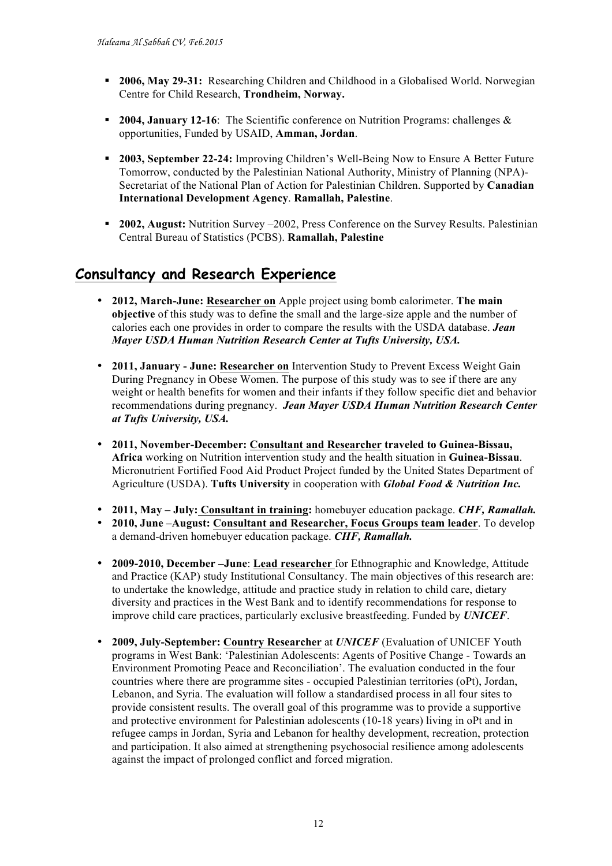- § **2006, May 29-31:** Researching Children and Childhood in a Globalised World. Norwegian Centre for Child Research, **Trondheim, Norway.**
- § **2004, January 12-16**: The Scientific conference on Nutrition Programs: challenges & opportunities, Funded by USAID, **Amman, Jordan**.
- § **2003, September 22-24:** Improving Children's Well-Being Now to Ensure A Better Future Tomorrow, conducted by the Palestinian National Authority, Ministry of Planning (NPA)- Secretariat of the National Plan of Action for Palestinian Children. Supported by **Canadian International Development Agency**. **Ramallah, Palestine**.
- § **2002, August:** Nutrition Survey –2002, Press Conference on the Survey Results. Palestinian Central Bureau of Statistics (PCBS). **Ramallah, Palestine**

# **Consultancy and Research Experience**

- **2012, March-June: Researcher on** Apple project using bomb calorimeter. **The main objective** of this study was to define the small and the large-size apple and the number of calories each one provides in order to compare the results with the USDA database. *Jean Mayer USDA Human Nutrition Research Center at Tufts University, USA.*
- **2011, January - June: Researcher on** Intervention Study to Prevent Excess Weight Gain During Pregnancy in Obese Women. The purpose of this study was to see if there are any weight or health benefits for women and their infants if they follow specific diet and behavior recommendations during pregnancy. *Jean Mayer USDA Human Nutrition Research Center at Tufts University, USA.*
- **2011, November-December: Consultant and Researcher traveled to Guinea-Bissau, Africa** working on Nutrition intervention study and the health situation in **Guinea-Bissau**. Micronutrient Fortified Food Aid Product Project funded by the United States Department of Agriculture (USDA). **Tufts University** in cooperation with *Global Food & Nutrition Inc.*
- **2011, May – July: Consultant in training:** homebuyer education package. *CHF, Ramallah.*
- **2010, June –August: Consultant and Researcher, Focus Groups team leader**. To develop a demand-driven homebuyer education package. *CHF, Ramallah.*
- **2009-2010, December –June**: **Lead researcher** for Ethnographic and Knowledge, Attitude and Practice (KAP) study Institutional Consultancy. The main objectives of this research are: to undertake the knowledge, attitude and practice study in relation to child care, dietary diversity and practices in the West Bank and to identify recommendations for response to improve child care practices, particularly exclusive breastfeeding. Funded by *UNICEF*.
- **2009, July-September: Country Researcher** at *UNICEF* (Evaluation of UNICEF Youth programs in West Bank: 'Palestinian Adolescents: Agents of Positive Change - Towards an Environment Promoting Peace and Reconciliation'. The evaluation conducted in the four countries where there are programme sites - occupied Palestinian territories (oPt), Jordan, Lebanon, and Syria. The evaluation will follow a standardised process in all four sites to provide consistent results. The overall goal of this programme was to provide a supportive and protective environment for Palestinian adolescents (10-18 years) living in oPt and in refugee camps in Jordan, Syria and Lebanon for healthy development, recreation, protection and participation. It also aimed at strengthening psychosocial resilience among adolescents against the impact of prolonged conflict and forced migration.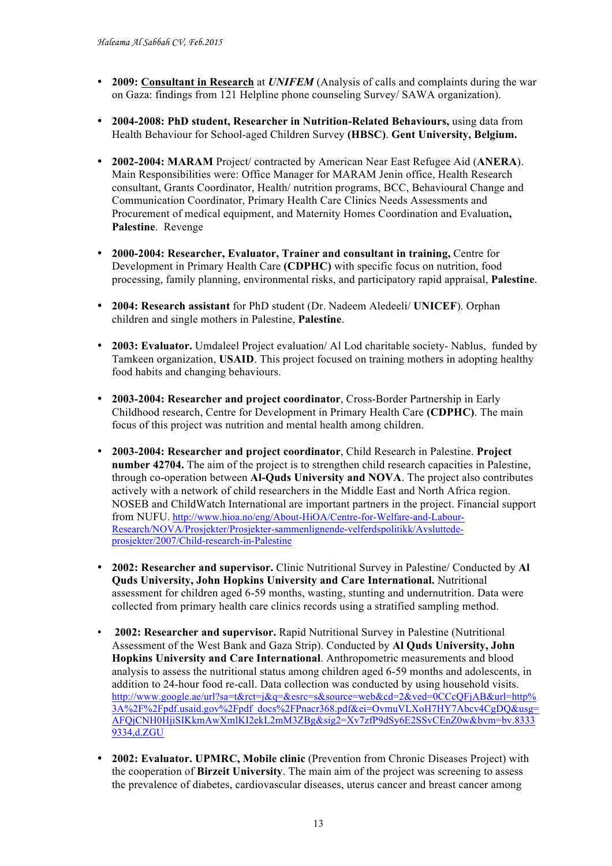- **2009: Consultant in Research** at *UNIFEM* (Analysis of calls and complaints during the war on Gaza: findings from 121 Helpline phone counseling Survey/ SAWA organization).
- **2004-2008: PhD student, Researcher in Nutrition-Related Behaviours,** using data from Health Behaviour for School-aged Children Survey **(HBSC)**. **Gent University, Belgium.**
- **2002-2004: MARAM** Project/ contracted by American Near East Refugee Aid (**ANERA**). Main Responsibilities were: Office Manager for MARAM Jenin office, Health Research consultant, Grants Coordinator, Health/ nutrition programs, BCC, Behavioural Change and Communication Coordinator, Primary Health Care Clinics Needs Assessments and Procurement of medical equipment, and Maternity Homes Coordination and Evaluation**, Palestine**. Revenge
- **2000-2004: Researcher, Evaluator, Trainer and consultant in training,** Centre for Development in Primary Health Care **(CDPHC)** with specific focus on nutrition, food processing, family planning, environmental risks, and participatory rapid appraisal, **Palestine**.
- **2004: Research assistant** for PhD student (Dr. Nadeem Aledeeli/ **UNICEF**). Orphan children and single mothers in Palestine, **Palestine**.
- **2003: Evaluator.** Umdaleel Project evaluation/ Al Lod charitable society- Nablus, funded by Tamkeen organization, **USAID**. This project focused on training mothers in adopting healthy food habits and changing behaviours.
- **2003-2004: Researcher and project coordinator**, Cross-Border Partnership in Early Childhood research, Centre for Development in Primary Health Care **(CDPHC)**. The main focus of this project was nutrition and mental health among children.
- **2003-2004: Researcher and project coordinator**, Child Research in Palestine. **Project number 42704.** The aim of the project is to strengthen child research capacities in Palestine, through co-operation between **Al-Quds University and NOVA**. The project also contributes actively with a network of child researchers in the Middle East and North Africa region. NOSEB and ChildWatch International are important partners in the project. Financial support from NUFU. http://www.hioa.no/eng/About-HiOA/Centre-for-Welfare-and-Labour-Research/NOVA/Prosjekter/Prosjekter-sammenlignende-velferdspolitikk/Avsluttedeprosjekter/2007/Child-research-in-Palestine
- **2002: Researcher and supervisor.** Clinic Nutritional Survey in Palestine/ Conducted by **Al Quds University, John Hopkins University and Care International.** Nutritional assessment for children aged 6-59 months, wasting, stunting and undernutrition. Data were collected from primary health care clinics records using a stratified sampling method.
- **2002: Researcher and supervisor.** Rapid Nutritional Survey in Palestine (Nutritional Assessment of the West Bank and Gaza Strip). Conducted by **Al Quds University, John Hopkins University and Care International**. Anthropometric measurements and blood analysis to assess the nutritional status among children aged 6-59 months and adolescents, in addition to 24-hour food re-call. Data collection was conducted by using household visits. http://www.google.ae/url?sa=t&rct=j&q=&esrc=s&source=web&cd=2&ved=0CCcQFjAB&url=http% 3A%2F%2Fpdf.usaid.gov%2Fpdf\_docs%2FPnacr368.pdf&ei=OvmuVLXoH7HY7Abcv4CgDQ&usg= AFQjCNH0HjiSIKkmAwXmlKI2ekL2mM3ZBg&sig2=Xv7zfP9dSy6E2SSvCEnZ0w&bvm=bv.8333 9334,d.ZGU
- **2002: Evaluator. UPMRC, Mobile clinic** (Prevention from Chronic Diseases Project) with the cooperation of **Birzeit University**. The main aim of the project was screening to assess the prevalence of diabetes, cardiovascular diseases, uterus cancer and breast cancer among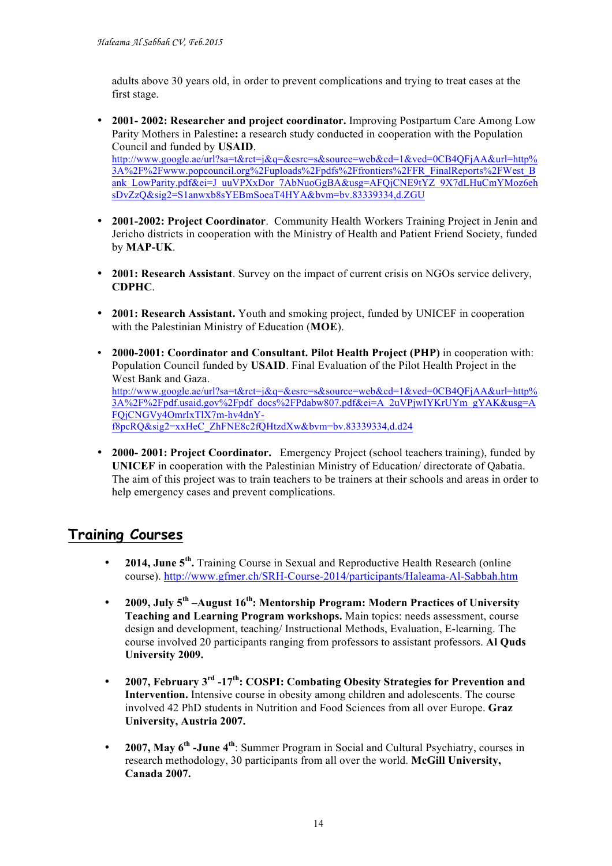adults above 30 years old, in order to prevent complications and trying to treat cases at the first stage.

• **2001- 2002: Researcher and project coordinator.** Improving Postpartum Care Among Low Parity Mothers in Palestine**:** a research study conducted in cooperation with the Population Council and funded by **USAID**.

http://www.google.ae/url?sa=t&rct=j&q=&esrc=s&source=web&cd=1&ved=0CB4QFjAA&url=http% 3A%2F%2Fwww.popcouncil.org%2Fuploads%2Fpdfs%2Ffrontiers%2FFR\_FinalReports%2FWest\_B ank\_LowParity.pdf&ei=J\_uuVPXxDor\_7AbNuoGgBA&usg=AFQjCNE9tYZ\_9X7dLHuCmYMoz6eh sDvZzQ&sig2=S1anwxb8sYEBmSoeaT4HYA&bvm=bv.83339334,d.ZGU

- **2001-2002: Project Coordinator**. Community Health Workers Training Project in Jenin and Jericho districts in cooperation with the Ministry of Health and Patient Friend Society, funded by **MAP-UK**.
- **2001: Research Assistant**. Survey on the impact of current crisis on NGOs service delivery, **CDPHC**.
- **2001: Research Assistant.** Youth and smoking project, funded by UNICEF in cooperation with the Palestinian Ministry of Education (**MOE**).
- **2000-2001: Coordinator and Consultant. Pilot Health Project (PHP)** in cooperation with: Population Council funded by **USAID**. Final Evaluation of the Pilot Health Project in the West Bank and Gaza. http://www.google.ae/url?sa=t&rct=j&q=&esrc=s&source=web&cd=1&ved=0CB4QFjAA&url=http% 3A%2F%2Fpdf.usaid.gov%2Fpdf\_docs%2FPdabw807.pdf&ei=A\_2uVPjwIYKrUYm\_gYAK&usg=A FQjCNGVy4OmrIxTlX7m-hv4dnYf8pcRQ&sig2=xxHeC\_ZhFNE8c2fQHtzdXw&bvm=bv.83339334,d.d24
- **2000- 2001: Project Coordinator.** Emergency Project (school teachers training), funded by **UNICEF** in cooperation with the Palestinian Ministry of Education/ directorate of Qabatia. The aim of this project was to train teachers to be trainers at their schools and areas in order to help emergency cases and prevent complications.

## **Training Courses**

- **2014, June 5th.** Training Course in Sexual and Reproductive Health Research (online course). http://www.gfmer.ch/SRH-Course-2014/participants/Haleama-Al-Sabbah.htm
- **2009, July 5th –August 16th: Mentorship Program: Modern Practices of University Teaching and Learning Program workshops.** Main topics: needs assessment, course design and development, teaching/ Instructional Methods, Evaluation, E-learning. The course involved 20 participants ranging from professors to assistant professors. **Al Quds University 2009.**
- **2007, February 3rd -17th: COSPI: Combating Obesity Strategies for Prevention and Intervention.** Intensive course in obesity among children and adolescents. The course involved 42 PhD students in Nutrition and Food Sciences from all over Europe. **Graz University, Austria 2007.**
- **2007, May 6th -June 4th**: Summer Program in Social and Cultural Psychiatry, courses in research methodology, 30 participants from all over the world. **McGill University, Canada 2007.**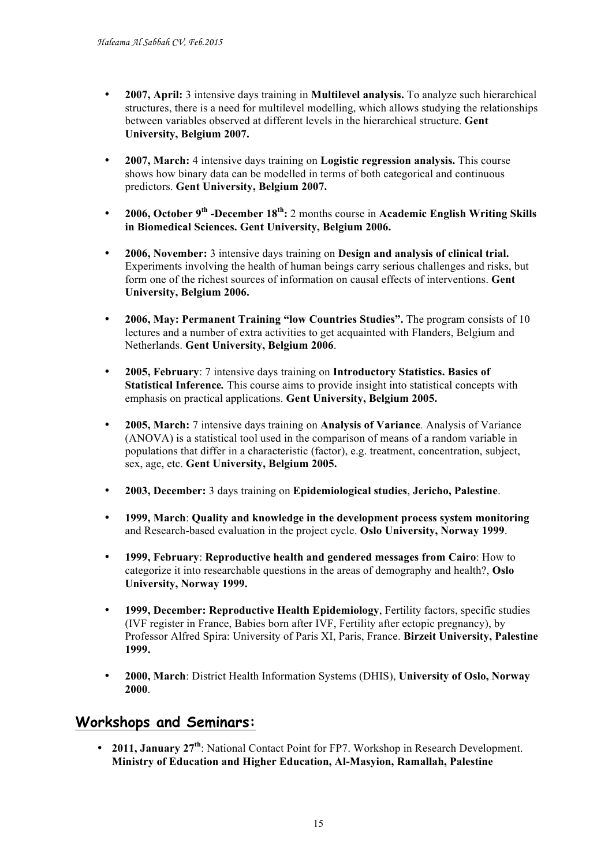- **2007, April:** 3 intensive days training in **Multilevel analysis.** To analyze such hierarchical structures, there is a need for multilevel modelling, which allows studying the relationships between variables observed at different levels in the hierarchical structure. **Gent University, Belgium 2007.**
- **2007, March:** 4 intensive days training on **Logistic regression analysis.** This course shows how binary data can be modelled in terms of both categorical and continuous predictors. **Gent University, Belgium 2007.**
- **2006, October 9th -December 18th:** 2 months course in **Academic English Writing Skills in Biomedical Sciences. Gent University, Belgium 2006.**
- **2006, November:** 3 intensive days training on **Design and analysis of clinical trial.**  Experiments involving the health of human beings carry serious challenges and risks, but form one of the richest sources of information on causal effects of interventions. **Gent University, Belgium 2006.**
- **2006, May: Permanent Training "low Countries Studies".** The program consists of 10 lectures and a number of extra activities to get acquainted with Flanders, Belgium and Netherlands. **Gent University, Belgium 2006**.
- **2005, February**: 7 intensive days training on **Introductory Statistics. Basics of Statistical Inference***.* This course aims to provide insight into statistical concepts with emphasis on practical applications. **Gent University, Belgium 2005.**
- **2005, March:** 7 intensive days training on **Analysis of Variance***.* Analysis of Variance (ANOVA) is a statistical tool used in the comparison of means of a random variable in populations that differ in a characteristic (factor), e.g. treatment, concentration, subject, sex, age, etc. **Gent University, Belgium 2005.**
- **2003, December:** 3 days training on **Epidemiological studies**, **Jericho, Palestine**.
- **1999, March**: **Quality and knowledge in the development process system monitoring** and Research-based evaluation in the project cycle. **Oslo University, Norway 1999**.
- **1999, February**: **Reproductive health and gendered messages from Cairo**: How to categorize it into researchable questions in the areas of demography and health?, **Oslo University, Norway 1999.**
- **1999, December: Reproductive Health Epidemiology**, Fertility factors, specific studies (IVF register in France, Babies born after IVF, Fertility after ectopic pregnancy), by Professor Alfred Spira: University of Paris XI, Paris, France. **Birzeit University, Palestine 1999.**
- **2000, March**: District Health Information Systems (DHIS), **University of Oslo, Norway 2000**.

### **Workshops and Seminars:**

• **2011, January 27th**: National Contact Point for FP7. Workshop in Research Development. **Ministry of Education and Higher Education, Al-Masyion, Ramallah, Palestine**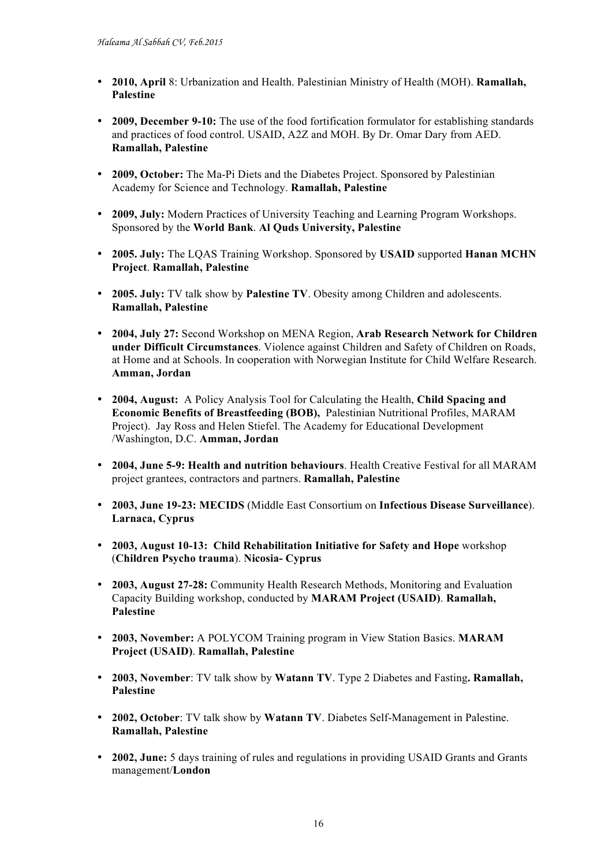- **2010, April** 8: Urbanization and Health. Palestinian Ministry of Health (MOH). **Ramallah, Palestine**
- **2009, December 9-10:** The use of the food fortification formulator for establishing standards and practices of food control. USAID, A2Z and MOH. By Dr. Omar Dary from AED. **Ramallah, Palestine**
- **2009, October:** The Ma-Pi Diets and the Diabetes Project. Sponsored by Palestinian Academy for Science and Technology. **Ramallah, Palestine**
- **2009, July:** Modern Practices of University Teaching and Learning Program Workshops. Sponsored by the **World Bank**. **Al Quds University, Palestine**
- **2005. July:** The LQAS Training Workshop. Sponsored by **USAID** supported **Hanan MCHN Project**. **Ramallah, Palestine**
- **2005. July:** TV talk show by **Palestine TV**. Obesity among Children and adolescents. **Ramallah, Palestine**
- **2004, July 27:** Second Workshop on MENA Region, **Arab Research Network for Children under Difficult Circumstances**. Violence against Children and Safety of Children on Roads, at Home and at Schools. In cooperation with Norwegian Institute for Child Welfare Research. **Amman, Jordan**
- **2004, August:** A Policy Analysis Tool for Calculating the Health, **Child Spacing and Economic Benefits of Breastfeeding (BOB),** Palestinian Nutritional Profiles, MARAM Project). Jay Ross and Helen Stiefel. The Academy for Educational Development /Washington, D.C. **Amman, Jordan**
- **2004, June 5-9: Health and nutrition behaviours**. Health Creative Festival for all MARAM project grantees, contractors and partners. **Ramallah, Palestine**
- **2003, June 19-23: MECIDS** (Middle East Consortium on **Infectious Disease Surveillance**). **Larnaca, Cyprus**
- **2003, August 10-13: Child Rehabilitation Initiative for Safety and Hope** workshop (**Children Psycho trauma**). **Nicosia- Cyprus**
- **2003, August 27-28:** Community Health Research Methods, Monitoring and Evaluation Capacity Building workshop, conducted by **MARAM Project (USAID)**. **Ramallah, Palestine**
- **2003, November:** A POLYCOM Training program in View Station Basics. **MARAM Project (USAID)**. **Ramallah, Palestine**
- **2003, November**: TV talk show by **Watann TV**. Type 2 Diabetes and Fasting**. Ramallah, Palestine**
- **2002, October**: TV talk show by **Watann TV**. Diabetes Self-Management in Palestine. **Ramallah, Palestine**
- **2002, June:** 5 days training of rules and regulations in providing USAID Grants and Grants management/**London**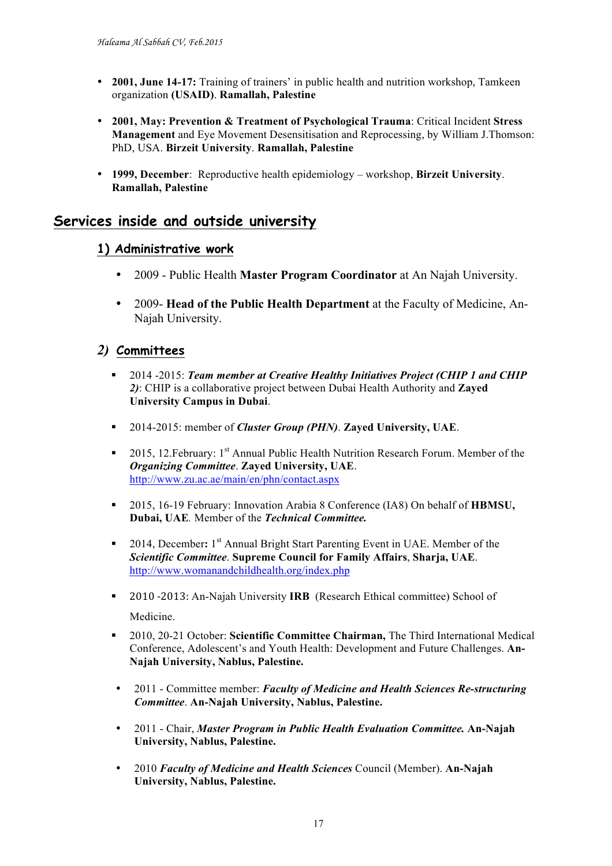- **2001, June 14-17:** Training of trainers' in public health and nutrition workshop, Tamkeen organization **(USAID)**. **Ramallah, Palestine**
- **2001, May: Prevention & Treatment of Psychological Trauma**: Critical Incident **Stress Management** and Eye Movement Desensitisation and Reprocessing, by William J.Thomson: PhD, USA. **Birzeit University**. **Ramallah, Palestine**
- **1999, December**: Reproductive health epidemiology workshop, **Birzeit University**. **Ramallah, Palestine**

### **Services inside and outside university**

#### **1) Administrative work**

- 2009 Public Health **Master Program Coordinator** at An Najah University.
- 2009- **Head of the Public Health Department** at the Faculty of Medicine, An-Najah University.

### *2)* **Committees**

- § 2014 -2015: *Team member at Creative Healthy Initiatives Project (CHIP 1 and CHIP 2)*: CHIP is a collaborative project between Dubai Health Authority and **Zayed University Campus in Dubai**.
- § 2014-2015: member of *Cluster Group (PHN)*. **Zayed University, UAE**.
- 2015, 12. February: 1<sup>st</sup> Annual Public Health Nutrition Research Forum. Member of the *Organizing Committee*. **Zayed University, UAE**. http://www.zu.ac.ae/main/en/phn/contact.aspx
- § 2015, 16-19 February: Innovation Arabia 8 Conference (IA8) On behalf of **HBMSU, Dubai, UAE***.* Member of the *Technical Committee.*
- § 2014, December**:** 1st Annual Bright Start Parenting Event in UAE. Member of the *Scientific Committee*. **Supreme Council for Family Affairs**, **Sharja, UAE**. http://www.womanandchildhealth.org/index.php
- **•** 2010 -2013: An-Najah University **IRB** (Research Ethical committee) School of Medicine.
- § 2010, 20-21 October: **Scientific Committee Chairman,** The Third International Medical Conference, Adolescent's and Youth Health: Development and Future Challenges. **An-Najah University, Nablus, Palestine.**
- 2011 Committee member: *Faculty of Medicine and Health Sciences Re-structuring Committee*. **An-Najah University, Nablus, Palestine.**
- 2011 Chair, *Master Program in Public Health Evaluation Committee.* **An-Najah University, Nablus, Palestine.**
- 2010 *Faculty of Medicine and Health Sciences* Council (Member). **An-Najah University, Nablus, Palestine.**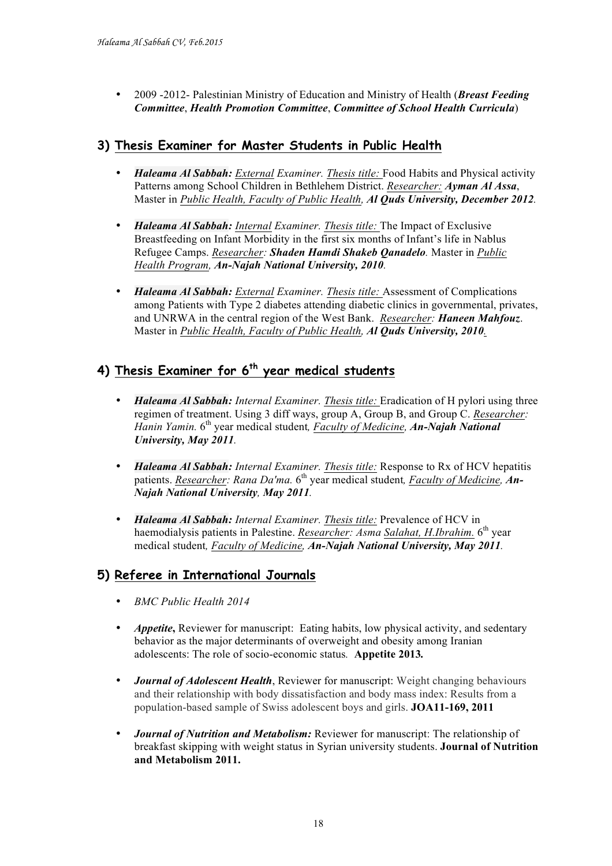• 2009 -2012- Palestinian Ministry of Education and Ministry of Health (*Breast Feeding Committee*, *Health Promotion Committee*, *Committee of School Health Curricula*)

### **3) Thesis Examiner for Master Students in Public Health**

- *Haleama Al Sabbah: External Examiner. Thesis title:* Food Habits and Physical activity Patterns among School Children in Bethlehem District. *Researcher: Ayman Al Assa*, Master in *Public Health, Faculty of Public Health, Al Quds University, December 2012.*
- *Haleama Al Sabbah: Internal Examiner. Thesis title:* The Impact of Exclusive Breastfeeding on Infant Morbidity in the first six months of Infant's life in Nablus Refugee Camps. *Researcher: Shaden Hamdi Shakeb Qanadelo.* Master in *Public Health Program, An-Najah National University, 2010.*
- *Haleama Al Sabbah: External Examiner. Thesis title:* Assessment of Complications among Patients with Type 2 diabetes attending diabetic clinics in governmental, privates, and UNRWA in the central region of the West Bank. *Researcher: Haneen Mahfouz*. Master in *Public Health, Faculty of Public Health, Al Quds University, 2010.*

### **4) Thesis Examiner for 6th year medical students**

- *Haleama Al Sabbah: Internal Examiner. Thesis title:* Eradication of H pylori using three regimen of treatment. Using 3 diff ways, group A, Group B, and Group C. *Researcher: Hanin Yamin.* 6th year medical student*, Faculty of Medicine, An-Najah National University, May 2011.*
- *Haleama Al Sabbah: Internal Examiner. Thesis title:* Response to Rx of HCV hepatitis patients. *Researcher: Rana Da'ma.* 6<sup>th</sup> year medical student, *Faculty of Medicine*, *An*-*Najah National University, May 2011.*
- *Haleama Al Sabbah: Internal Examiner. Thesis title:* Prevalence of HCV in haemodialysis patients in Palestine. *Researcher: Asma Salahat, H.Ibrahim*. 6<sup>th</sup> year medical student*, Faculty of Medicine, An-Najah National University, May 2011.*

### **5) Referee in International Journals**

- *BMC Public Health 2014*
- *Appetite***,** Reviewer for manuscript: Eating habits, low physical activity, and sedentary behavior as the major determinants of overweight and obesity among Iranian adolescents: The role of socio-economic status*.* **Appetite 2013***.*
- *Journal of Adolescent Health*, Reviewer for manuscript: Weight changing behaviours and their relationship with body dissatisfaction and body mass index: Results from a population-based sample of Swiss adolescent boys and girls. **JOA11-169, 2011**
- *Journal of Nutrition and Metabolism:* Reviewer for manuscript: The relationship of breakfast skipping with weight status in Syrian university students. **Journal of Nutrition and Metabolism 2011.**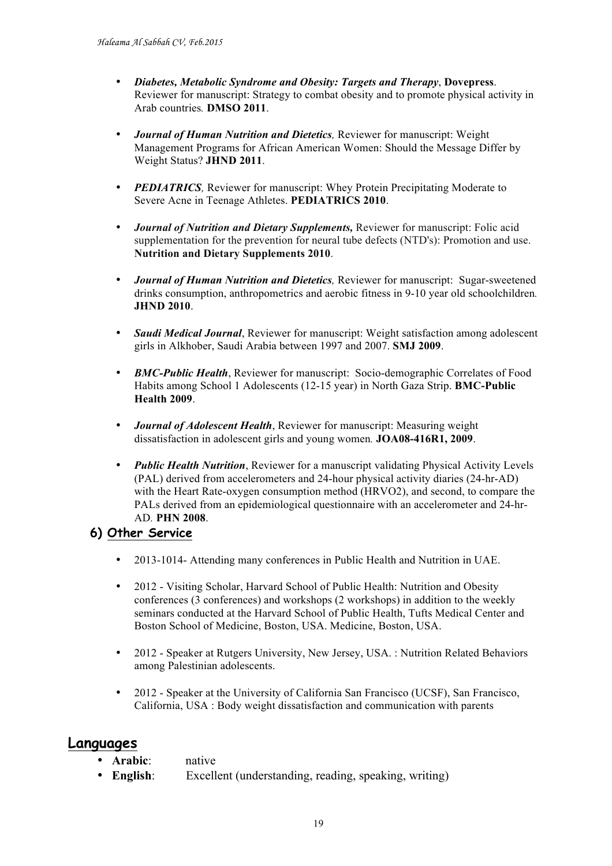- *Diabetes, Metabolic Syndrome and Obesity: Targets and Therapy*, **Dovepress**. Reviewer for manuscript: Strategy to combat obesity and to promote physical activity in Arab countries*.* **DMSO 2011**.
- *Journal of Human Nutrition and Dietetics,* Reviewer for manuscript: Weight Management Programs for African American Women: Should the Message Differ by Weight Status? **JHND 2011**.
- *PEDIATRICS*, Reviewer for manuscript: Whey Protein Precipitating Moderate to Severe Acne in Teenage Athletes. **PEDIATRICS 2010**.
- *Journal of Nutrition and Dietary Supplements,* Reviewer for manuscript: Folic acid supplementation for the prevention for neural tube defects (NTD's): Promotion and use. **Nutrition and Dietary Supplements 2010**.
- *Journal of Human Nutrition and Dietetics,* Reviewer for manuscript: Sugar-sweetened drinks consumption, anthropometrics and aerobic fitness in 9-10 year old schoolchildren*.*  **JHND 2010**.
- *Saudi Medical Journal*, Reviewer for manuscript: Weight satisfaction among adolescent girls in Alkhober, Saudi Arabia between 1997 and 2007. **SMJ 2009**.
- *BMC-Public Health*, Reviewer for manuscript: Socio-demographic Correlates of Food Habits among School 1 Adolescents (12-15 year) in North Gaza Strip. **BMC-Public Health 2009**.
- *Journal of Adolescent Health*, Reviewer for manuscript: Measuring weight dissatisfaction in adolescent girls and young women*.* **JOA08-416R1, 2009**.
- *Public Health Nutrition*, Reviewer for a manuscript validating Physical Activity Levels (PAL) derived from accelerometers and 24-hour physical activity diaries (24-hr-AD) with the Heart Rate-oxygen consumption method (HRVO2), and second, to compare the PALs derived from an epidemiological questionnaire with an accelerometer and 24-hr-AD*.* **PHN 2008**.

### **6) Other Service**

- 2013-1014- Attending many conferences in Public Health and Nutrition in UAE.
- 2012 Visiting Scholar, Harvard School of Public Health: Nutrition and Obesity conferences (3 conferences) and workshops (2 workshops) in addition to the weekly seminars conducted at the Harvard School of Public Health, Tufts Medical Center and Boston School of Medicine, Boston, USA. Medicine, Boston, USA.
- 2012 Speaker at Rutgers University, New Jersey, USA. : Nutrition Related Behaviors among Palestinian adolescents.
- 2012 Speaker at the University of California San Francisco (UCSF), San Francisco, California, USA : Body weight dissatisfaction and communication with parents

#### **Languages**

• **Arabic**: native

• **English**: Excellent (understanding, reading, speaking, writing)